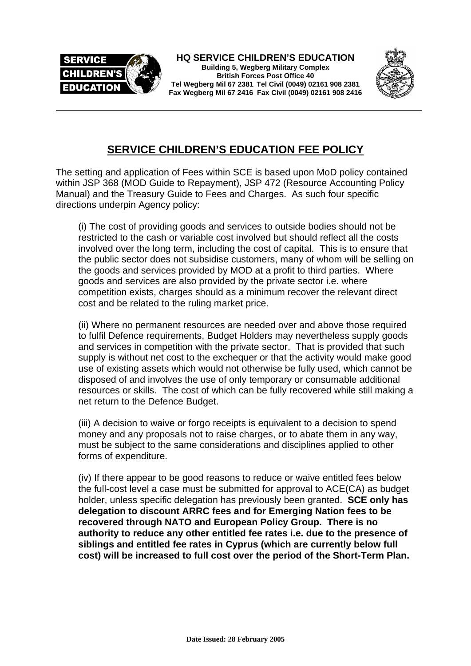



## **SERVICE CHILDREN'S EDUCATION FEE POLICY**

The setting and application of Fees within SCE is based upon MoD policy contained within JSP 368 (MOD Guide to Repayment), JSP 472 (Resource Accounting Policy Manual) and the Treasury Guide to Fees and Charges. As such four specific directions underpin Agency policy:

(i) The cost of providing goods and services to outside bodies should not be restricted to the cash or variable cost involved but should reflect all the costs involved over the long term, including the cost of capital. This is to ensure that the public sector does not subsidise customers, many of whom will be selling on the goods and services provided by MOD at a profit to third parties. Where goods and services are also provided by the private sector i.e. where competition exists, charges should as a minimum recover the relevant direct cost and be related to the ruling market price.

(ii) Where no permanent resources are needed over and above those required to fulfil Defence requirements, Budget Holders may nevertheless supply goods and services in competition with the private sector. That is provided that such supply is without net cost to the exchequer or that the activity would make good use of existing assets which would not otherwise be fully used, which cannot be disposed of and involves the use of only temporary or consumable additional resources or skills. The cost of which can be fully recovered while still making a net return to the Defence Budget.

(iii) A decision to waive or forgo receipts is equivalent to a decision to spend money and any proposals not to raise charges, or to abate them in any way, must be subject to the same considerations and disciplines applied to other forms of expenditure.

(iv) If there appear to be good reasons to reduce or waive entitled fees below the full-cost level a case must be submitted for approval to ACE(CA) as budget holder, unless specific delegation has previously been granted. **SCE only has delegation to discount ARRC fees and for Emerging Nation fees to be recovered through NATO and European Policy Group. There is no authority to reduce any other entitled fee rates i.e. due to the presence of siblings and entitled fee rates in Cyprus (which are currently below full cost) will be increased to full cost over the period of the Short-Term Plan.**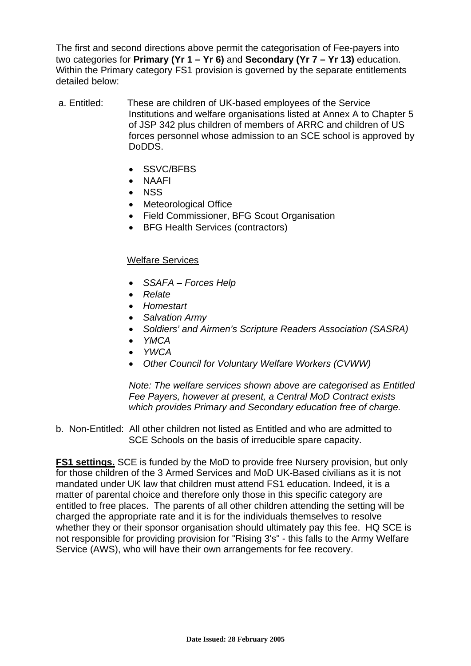The first and second directions above permit the categorisation of Fee-payers into two categories for **Primary (Yr 1 – Yr 6)** and **Secondary (Yr 7 – Yr 13)** education. Within the Primary category FS1 provision is governed by the separate entitlements detailed below:

- a. Entitled: These are children of UK-based employees of the Service Institutions and welfare organisations listed at Annex A to Chapter 5 of JSP 342 plus children of members of ARRC and children of US forces personnel whose admission to an SCE school is approved by DoDDS.
	- SSVC/BFBS
	- NAAFI
	- NSS
	- Meteorological Office
	- Field Commissioner, BFG Scout Organisation
	- BFG Health Services (contractors)

## Welfare Services

- *SSAFA Forces Help*
- *Relate*
- *Homestart*
- *Salvation Army*
- *Soldiers' and Airmen's Scripture Readers Association (SASRA)*
- *YMCA*
- *YWCA*
- *Other Council for Voluntary Welfare Workers (CVWW)*

*Note: The welfare services shown above are categorised as Entitled Fee Payers, however at present, a Central MoD Contract exists which provides Primary and Secondary education free of charge.* 

b. Non-Entitled: All other children not listed as Entitled and who are admitted to SCE Schools on the basis of irreducible spare capacity.

**FS1 settings.** SCE is funded by the MoD to provide free Nursery provision, but only for those children of the 3 Armed Services and MoD UK-Based civilians as it is not mandated under UK law that children must attend FS1 education. Indeed, it is a matter of parental choice and therefore only those in this specific category are entitled to free places. The parents of all other children attending the setting will be charged the appropriate rate and it is for the individuals themselves to resolve whether they or their sponsor organisation should ultimately pay this fee. HQ SCE is not responsible for providing provision for "Rising 3's" - this falls to the Army Welfare Service (AWS), who will have their own arrangements for fee recovery.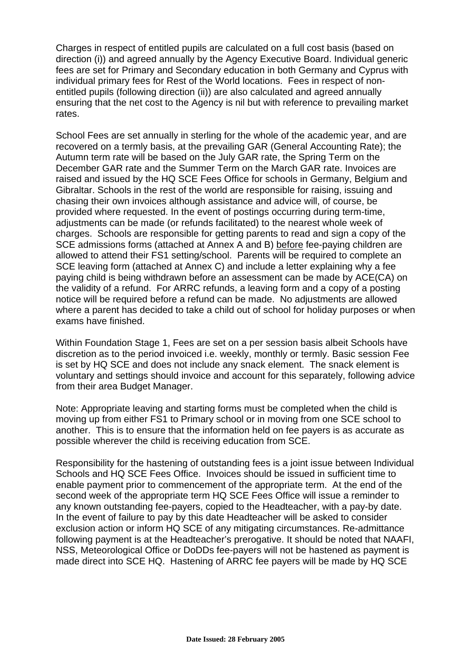Charges in respect of entitled pupils are calculated on a full cost basis (based on direction (i)) and agreed annually by the Agency Executive Board. Individual generic fees are set for Primary and Secondary education in both Germany and Cyprus with individual primary fees for Rest of the World locations. Fees in respect of nonentitled pupils (following direction (ii)) are also calculated and agreed annually ensuring that the net cost to the Agency is nil but with reference to prevailing market rates.

School Fees are set annually in sterling for the whole of the academic year, and are recovered on a termly basis, at the prevailing GAR (General Accounting Rate); the Autumn term rate will be based on the July GAR rate, the Spring Term on the December GAR rate and the Summer Term on the March GAR rate. Invoices are raised and issued by the HQ SCE Fees Office for schools in Germany, Belgium and Gibraltar. Schools in the rest of the world are responsible for raising, issuing and chasing their own invoices although assistance and advice will, of course, be provided where requested. In the event of postings occurring during term-time, adjustments can be made (or refunds facilitated) to the nearest whole week of charges. Schools are responsible for getting parents to read and sign a copy of the SCE admissions forms (attached at Annex A and B) before fee-paying children are allowed to attend their FS1 setting/school. Parents will be required to complete an SCE leaving form (attached at Annex C) and include a letter explaining why a fee paying child is being withdrawn before an assessment can be made by ACE(CA) on the validity of a refund. For ARRC refunds, a leaving form and a copy of a posting notice will be required before a refund can be made. No adjustments are allowed where a parent has decided to take a child out of school for holiday purposes or when exams have finished.

Within Foundation Stage 1, Fees are set on a per session basis albeit Schools have discretion as to the period invoiced i.e. weekly, monthly or termly. Basic session Fee is set by HQ SCE and does not include any snack element. The snack element is voluntary and settings should invoice and account for this separately, following advice from their area Budget Manager.

Note: Appropriate leaving and starting forms must be completed when the child is moving up from either FS1 to Primary school or in moving from one SCE school to another. This is to ensure that the information held on fee payers is as accurate as possible wherever the child is receiving education from SCE.

Responsibility for the hastening of outstanding fees is a joint issue between Individual Schools and HQ SCE Fees Office. Invoices should be issued in sufficient time to enable payment prior to commencement of the appropriate term. At the end of the second week of the appropriate term HQ SCE Fees Office will issue a reminder to any known outstanding fee-payers, copied to the Headteacher, with a pay-by date. In the event of failure to pay by this date Headteacher will be asked to consider exclusion action or inform HQ SCE of any mitigating circumstances. Re-admittance following payment is at the Headteacher's prerogative. It should be noted that NAAFI, NSS, Meteorological Office or DoDDs fee-payers will not be hastened as payment is made direct into SCE HQ. Hastening of ARRC fee payers will be made by HQ SCE